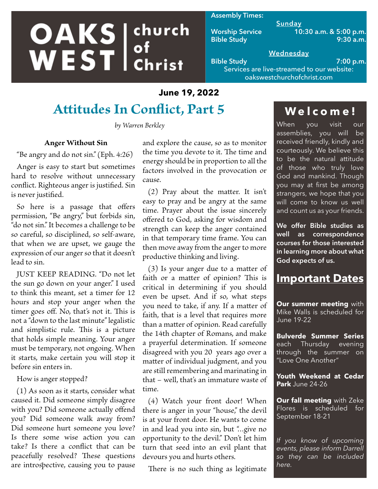# **OAKS** ehurch church

#### **Assembly Times:**

**Sunday Worship Service 10:30 a.m. & 5:00 p.m. Bible Study 9:30 a.m.**

## **Wednesday**

**Bible Study 7:00 p.m.** Services are live-streamed to our website: oakswestchurchofchrist.com

## **June 19, 2022**

# **Attitudes In Conflict, Part 5**

*by Warren Berkley*

### **Anger Without Sin**

"Be angry and do not sin." (Eph. 4:26)

Anger is easy to start but sometimes hard to resolve without unnecessary conflict. Righteous anger is justified. Sin is never justified.

So here is a passage that offers permission, "Be angry," but forbids sin, "do not sin." It becomes a challenge to be so careful, so disciplined, so self-aware, that when we are upset, we gauge the expression of our anger so that it doesn't lead to sin.

JUST KEEP READING. "Do not let the sun go down on your anger." I used to think this meant, set a timer for 12 hours and stop your anger when the timer goes off. No, that's not it. This is not a "down to the last minute" legalistic and simplistic rule. This is a picture that holds simple meaning. Your anger must be temporary, not ongoing. When it starts, make certain you will stop it before sin enters in.

How is anger stopped?

(1) As soon as it starts, consider what caused it. Did someone simply disagree with you? Did someone actually offend you? Did someone walk away from? Did someone hurt someone you love? Is there some wise action you can take? Is there a conflict that can be peacefully resolved? These questions are introspective, causing you to pause

and explore the cause, so as to monitor the time you devote to it. The time and energy should be in proportion to all the factors involved in the provocation or cause.

(2) Pray about the matter. It isn't easy to pray and be angry at the same time. Prayer about the issue sincerely offered to God, asking for wisdom and strength can keep the anger contained in that temporary time frame. You can then move away from the anger to more productive thinking and living.

(3) Is your anger due to a matter of faith or a matter of opinion? This is critical in determining if you should even be upset. And if so, what steps you need to take, if any. If a matter of faith, that is a level that requires more than a matter of opinion. Read carefully the 14th chapter of Romans, and make a prayerful determination. If someone disagreed with you 20 years ago over a matter of individual judgment, and you are still remembering and marinating in that – well, that's an immature waste of time.

(4) Watch your front door! When there is anger in your "house," the devil is at your front door. He wants to come in and lead you into sin, but "…give no opportunity to the devil." Don't let him turn that seed into an evil plant that devours you and hurts others.

There is no such thing as legitimate

# **Welcome!**

When you visit<u> our</u> assemblies, you will be received friendly, kindly and courteously. We believe this to be the natural attitude of those who truly love God and mankind. Though you may at first be among strangers, we hope that you will come to know us well and count us as your friends.

**We offer Bible studies as well as correspondence courses for those interested in learning more about what God expects of us.**

## **Important Dates**

**Our summer meeting** with Mike Walls is scheduled for June 19-22

**Bulverde Summer Series**  each Thursday evening through the summer on "Love One Another"

**Youth Weekend at Cedar Park** June 24-26

**Our fall meeting** with Zeke Flores is scheduled for September 18-21

*If you know of upcoming events, please inform Darrell so they can be included here.*